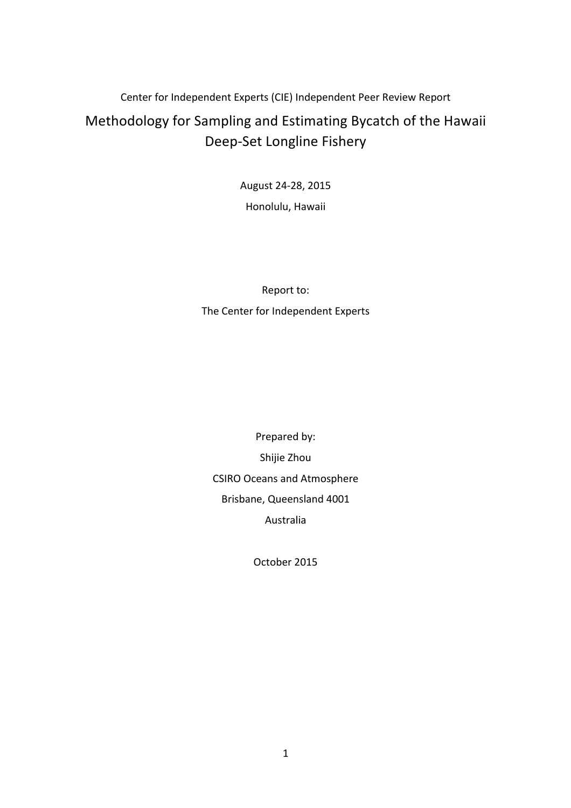# Center for Independent Experts (CIE) Independent Peer Review Report Methodology for Sampling and Estimating Bycatch of the Hawaii Deep-Set Longline Fishery

August 24-28, 2015 Honolulu, Hawaii

Report to: The Center for Independent Experts

Prepared by: Shijie Zhou CSIRO Oceans and Atmosphere Brisbane, Queensland 4001 Australia

October 2015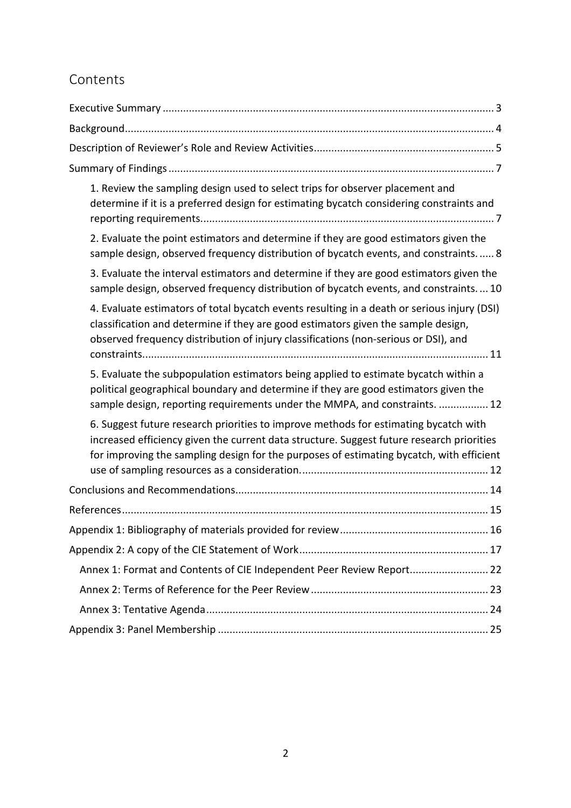# Contents

| 1. Review the sampling design used to select trips for observer placement and<br>determine if it is a preferred design for estimating bycatch considering constraints and                                                                                                     |  |  |
|-------------------------------------------------------------------------------------------------------------------------------------------------------------------------------------------------------------------------------------------------------------------------------|--|--|
| 2. Evaluate the point estimators and determine if they are good estimators given the<br>sample design, observed frequency distribution of bycatch events, and constraints 8                                                                                                   |  |  |
| 3. Evaluate the interval estimators and determine if they are good estimators given the<br>sample design, observed frequency distribution of bycatch events, and constraints10                                                                                                |  |  |
| 4. Evaluate estimators of total bycatch events resulting in a death or serious injury (DSI)<br>classification and determine if they are good estimators given the sample design,<br>observed frequency distribution of injury classifications (non-serious or DSI), and       |  |  |
| 5. Evaluate the subpopulation estimators being applied to estimate bycatch within a<br>political geographical boundary and determine if they are good estimators given the<br>sample design, reporting requirements under the MMPA, and constraints.  12                      |  |  |
| 6. Suggest future research priorities to improve methods for estimating bycatch with<br>increased efficiency given the current data structure. Suggest future research priorities<br>for improving the sampling design for the purposes of estimating bycatch, with efficient |  |  |
|                                                                                                                                                                                                                                                                               |  |  |
|                                                                                                                                                                                                                                                                               |  |  |
|                                                                                                                                                                                                                                                                               |  |  |
|                                                                                                                                                                                                                                                                               |  |  |
| Annex 1: Format and Contents of CIE Independent Peer Review Report 22                                                                                                                                                                                                         |  |  |
|                                                                                                                                                                                                                                                                               |  |  |
|                                                                                                                                                                                                                                                                               |  |  |
|                                                                                                                                                                                                                                                                               |  |  |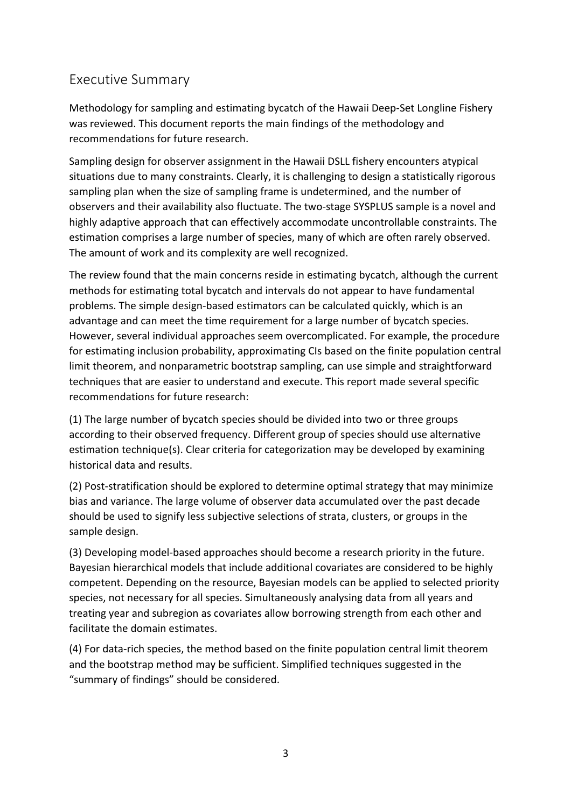# Executive Summary

Methodology for sampling and estimating bycatch of the Hawaii Deep-Set Longline Fishery was reviewed. This document reports the main findings of the methodology and recommendations for future research.

Sampling design for observer assignment in the Hawaii DSLL fishery encounters atypical situations due to many constraints. Clearly, it is challenging to design a statistically rigorous sampling plan when the size of sampling frame is undetermined, and the number of observers and their availability also fluctuate. The two-stage SYSPLUS sample is a novel and highly adaptive approach that can effectively accommodate uncontrollable constraints. The estimation comprises a large number of species, many of which are often rarely observed. The amount of work and its complexity are well recognized.

The review found that the main concerns reside in estimating bycatch, although the current methods for estimating total bycatch and intervals do not appear to have fundamental problems. The simple design-based estimators can be calculated quickly, which is an advantage and can meet the time requirement for a large number of bycatch species. However, several individual approaches seem overcomplicated. For example, the procedure for estimating inclusion probability, approximating CIs based on the finite population central limit theorem, and nonparametric bootstrap sampling, can use simple and straightforward techniques that are easier to understand and execute. This report made several specific recommendations for future research:

(1) The large number of bycatch species should be divided into two or three groups according to their observed frequency. Different group of species should use alternative estimation technique(s). Clear criteria for categorization may be developed by examining historical data and results.

(2) Post-stratification should be explored to determine optimal strategy that may minimize bias and variance. The large volume of observer data accumulated over the past decade should be used to signify less subjective selections of strata, clusters, or groups in the sample design.

(3) Developing model-based approaches should become a research priority in the future. Bayesian hierarchical models that include additional covariates are considered to be highly competent. Depending on the resource, Bayesian models can be applied to selected priority species, not necessary for all species. Simultaneously analysing data from all years and treating year and subregion as covariates allow borrowing strength from each other and facilitate the domain estimates.

(4) For data-rich species, the method based on the finite population central limit theorem and the bootstrap method may be sufficient. Simplified techniques suggested in the "summary of findings" should be considered.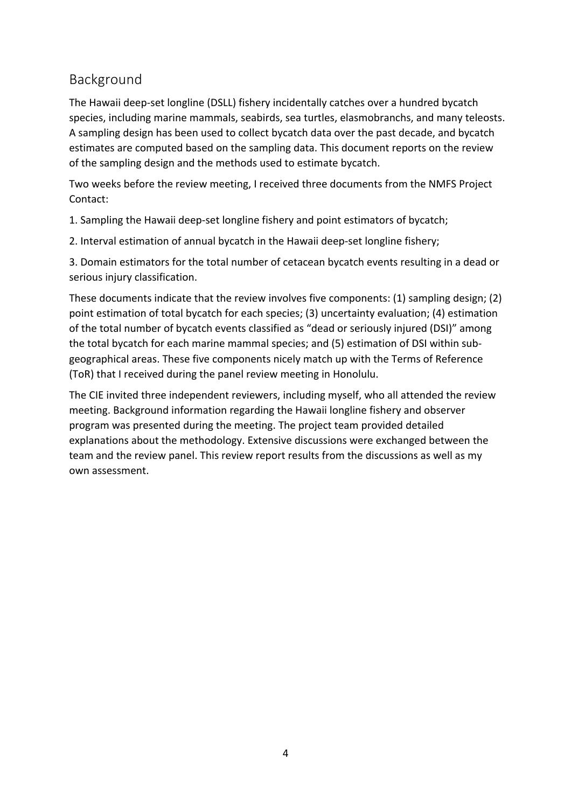# Background

The Hawaii deep-set longline (DSLL) fishery incidentally catches over a hundred bycatch species, including marine mammals, seabirds, sea turtles, elasmobranchs, and many teleosts. A sampling design has been used to collect bycatch data over the past decade, and bycatch estimates are computed based on the sampling data. This document reports on the review of the sampling design and the methods used to estimate bycatch.

Two weeks before the review meeting, I received three documents from the NMFS Project Contact:

1. Sampling the Hawaii deep-set longline fishery and point estimators of bycatch;

2. Interval estimation of annual bycatch in the Hawaii deep-set longline fishery;

3. Domain estimators for the total number of cetacean bycatch events resulting in a dead or serious injury classification.

These documents indicate that the review involves five components:  $(1)$  sampling design;  $(2)$ point estimation of total bycatch for each species; (3) uncertainty evaluation; (4) estimation of the total number of bycatch events classified as "dead or seriously injured (DSI)" among the total bycatch for each marine mammal species; and (5) estimation of DSI within subgeographical areas. These five components nicely match up with the Terms of Reference (ToR) that I received during the panel review meeting in Honolulu.

The CIE invited three independent reviewers, including myself, who all attended the review meeting. Background information regarding the Hawaii longline fishery and observer program was presented during the meeting. The project team provided detailed explanations about the methodology. Extensive discussions were exchanged between the team and the review panel. This review report results from the discussions as well as my own assessment.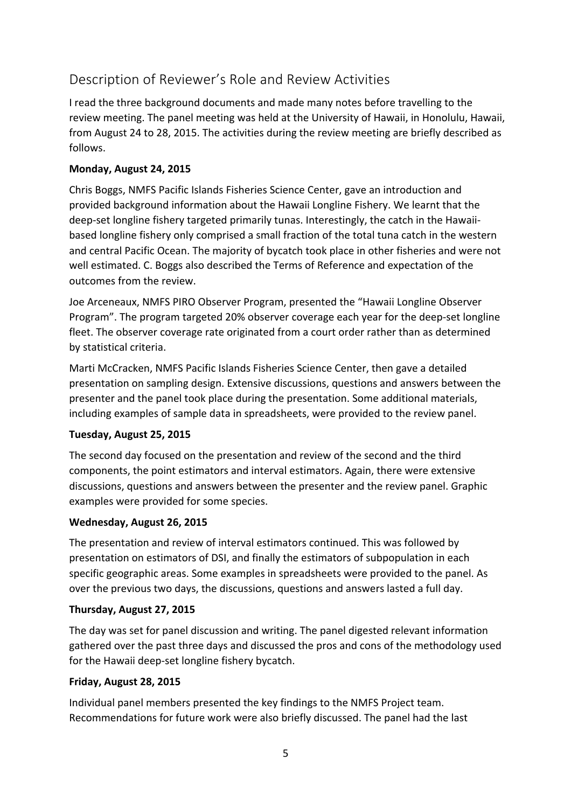# Description of Reviewer's Role and Review Activities

I read the three background documents and made many notes before travelling to the review meeting. The panel meeting was held at the University of Hawaii, in Honolulu, Hawaii, from August 24 to 28, 2015. The activities during the review meeting are briefly described as follows.

## **Monday, August 24, 2015**

Chris Boggs, NMFS Pacific Islands Fisheries Science Center, gave an introduction and provided background information about the Hawaii Longline Fishery. We learnt that the deep-set longline fishery targeted primarily tunas. Interestingly, the catch in the Hawaiibased longline fishery only comprised a small fraction of the total tuna catch in the western and central Pacific Ocean. The majority of bycatch took place in other fisheries and were not well estimated. C. Boggs also described the Terms of Reference and expectation of the outcomes from the review.

Joe Arceneaux, NMFS PIRO Observer Program, presented the "Hawaii Longline Observer Program". The program targeted 20% observer coverage each year for the deep-set longline fleet. The observer coverage rate originated from a court order rather than as determined by statistical criteria.

Marti McCracken, NMFS Pacific Islands Fisheries Science Center, then gave a detailed presentation on sampling design. Extensive discussions, questions and answers between the presenter and the panel took place during the presentation. Some additional materials, including examples of sample data in spreadsheets, were provided to the review panel.

## **Tuesday, August 25, 2015**

The second day focused on the presentation and review of the second and the third components, the point estimators and interval estimators. Again, there were extensive discussions, questions and answers between the presenter and the review panel. Graphic examples were provided for some species.

## **Wednesday, August 26, 2015**

The presentation and review of interval estimators continued. This was followed by presentation on estimators of DSI, and finally the estimators of subpopulation in each specific geographic areas. Some examples in spreadsheets were provided to the panel. As over the previous two days, the discussions, questions and answers lasted a full day.

## **Thursday, August 27, 2015**

The day was set for panel discussion and writing. The panel digested relevant information gathered over the past three days and discussed the pros and cons of the methodology used for the Hawaii deep-set longline fishery bycatch.

## **Friday, August 28, 2015**

Individual panel members presented the key findings to the NMFS Project team. Recommendations for future work were also briefly discussed. The panel had the last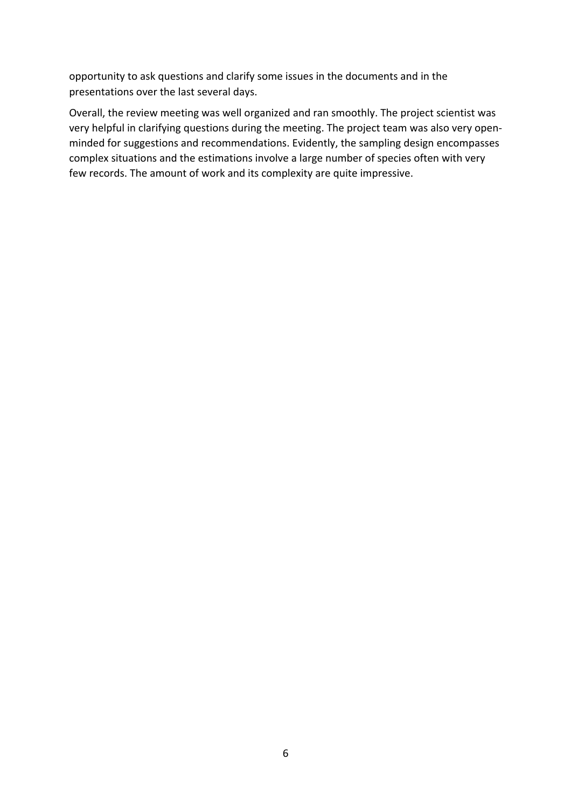opportunity to ask questions and clarify some issues in the documents and in the presentations over the last several days.

Overall, the review meeting was well organized and ran smoothly. The project scientist was very helpful in clarifying questions during the meeting. The project team was also very openminded for suggestions and recommendations. Evidently, the sampling design encompasses complex situations and the estimations involve a large number of species often with very few records. The amount of work and its complexity are quite impressive.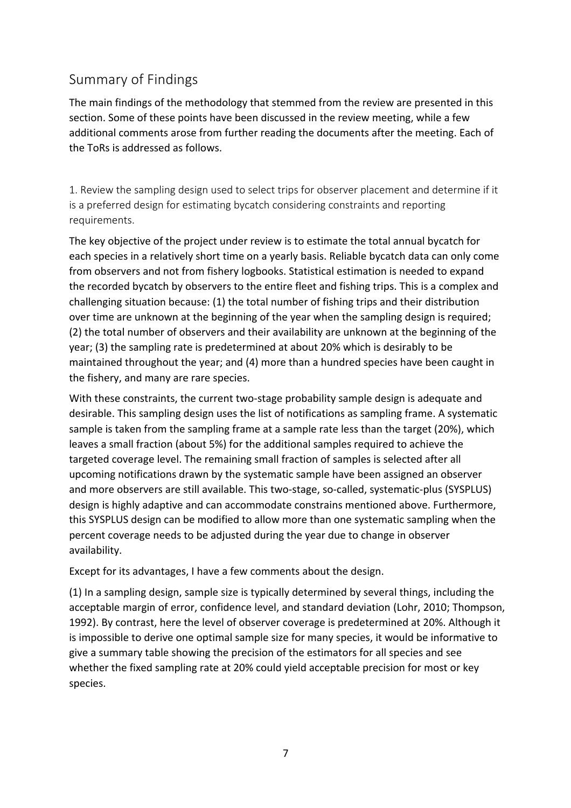# Summary of Findings

The main findings of the methodology that stemmed from the review are presented in this section. Some of these points have been discussed in the review meeting, while a few additional comments arose from further reading the documents after the meeting. Each of the ToRs is addressed as follows.

1. Review the sampling design used to select trips for observer placement and determine if it is a preferred design for estimating bycatch considering constraints and reporting requirements.

The key objective of the project under review is to estimate the total annual bycatch for each species in a relatively short time on a yearly basis. Reliable bycatch data can only come from observers and not from fishery logbooks. Statistical estimation is needed to expand the recorded bycatch by observers to the entire fleet and fishing trips. This is a complex and challenging situation because: (1) the total number of fishing trips and their distribution over time are unknown at the beginning of the year when the sampling design is required; (2) the total number of observers and their availability are unknown at the beginning of the year; (3) the sampling rate is predetermined at about 20% which is desirably to be maintained throughout the year; and (4) more than a hundred species have been caught in the fishery, and many are rare species.

With these constraints, the current two-stage probability sample design is adequate and desirable. This sampling design uses the list of notifications as sampling frame. A systematic sample is taken from the sampling frame at a sample rate less than the target (20%), which leaves a small fraction (about 5%) for the additional samples required to achieve the targeted coverage level. The remaining small fraction of samples is selected after all upcoming notifications drawn by the systematic sample have been assigned an observer and more observers are still available. This two-stage, so-called, systematic-plus (SYSPLUS) design is highly adaptive and can accommodate constrains mentioned above. Furthermore, this SYSPLUS design can be modified to allow more than one systematic sampling when the percent coverage needs to be adjusted during the year due to change in observer availability. 

Except for its advantages, I have a few comments about the design.

(1) In a sampling design, sample size is typically determined by several things, including the acceptable margin of error, confidence level, and standard deviation (Lohr, 2010; Thompson, 1992). By contrast, here the level of observer coverage is predetermined at 20%. Although it is impossible to derive one optimal sample size for many species, it would be informative to give a summary table showing the precision of the estimators for all species and see whether the fixed sampling rate at 20% could yield acceptable precision for most or key species.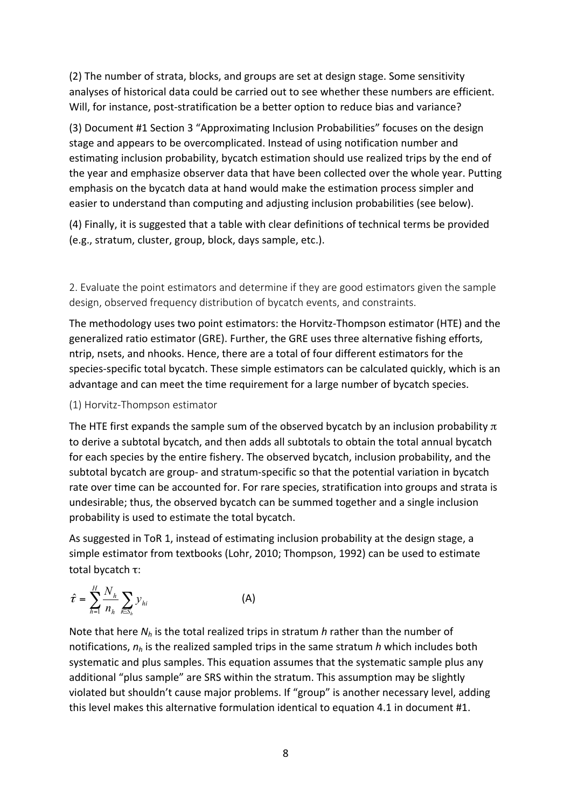(2) The number of strata, blocks, and groups are set at design stage. Some sensitivity analyses of historical data could be carried out to see whether these numbers are efficient. Will, for instance, post-stratification be a better option to reduce bias and variance?

(3) Document #1 Section 3 "Approximating Inclusion Probabilities" focuses on the design stage and appears to be overcomplicated. Instead of using notification number and estimating inclusion probability, bycatch estimation should use realized trips by the end of the year and emphasize observer data that have been collected over the whole year. Putting emphasis on the bycatch data at hand would make the estimation process simpler and easier to understand than computing and adjusting inclusion probabilities (see below).

(4) Finally, it is suggested that a table with clear definitions of technical terms be provided (e.g., stratum, cluster, group, block, days sample, etc.).

2. Evaluate the point estimators and determine if they are good estimators given the sample design, observed frequency distribution of bycatch events, and constraints.

The methodology uses two point estimators: the Horvitz-Thompson estimator (HTE) and the generalized ratio estimator (GRE). Further, the GRE uses three alternative fishing efforts, ntrip, nsets, and nhooks. Hence, there are a total of four different estimators for the species-specific total bycatch. These simple estimators can be calculated quickly, which is an advantage and can meet the time requirement for a large number of bycatch species.

## (1) Horvitz-Thompson estimator

The HTE first expands the sample sum of the observed bycatch by an inclusion probability  $\pi$ to derive a subtotal bycatch, and then adds all subtotals to obtain the total annual bycatch for each species by the entire fishery. The observed bycatch, inclusion probability, and the subtotal bycatch are group- and stratum-specific so that the potential variation in bycatch rate over time can be accounted for. For rare species, stratification into groups and strata is undesirable; thus, the observed bycatch can be summed together and a single inclusion probability is used to estimate the total bycatch.

As suggested in ToR 1, instead of estimating inclusion probability at the design stage, a simple estimator from textbooks (Lohr, 2010; Thompson, 1992) can be used to estimate total bycatch τ:

$$
\hat{\tau} = \sum_{h=1}^{H} \frac{N_h}{n_h} \sum_{i \in S_h} y_{hi}
$$
 (A)

Note that here  $N_h$  is the total realized trips in stratum *h* rather than the number of notifications,  $n_h$  is the realized sampled trips in the same stratum h which includes both systematic and plus samples. This equation assumes that the systematic sample plus any additional "plus sample" are SRS within the stratum. This assumption may be slightly violated but shouldn't cause major problems. If "group" is another necessary level, adding this level makes this alternative formulation identical to equation 4.1 in document #1.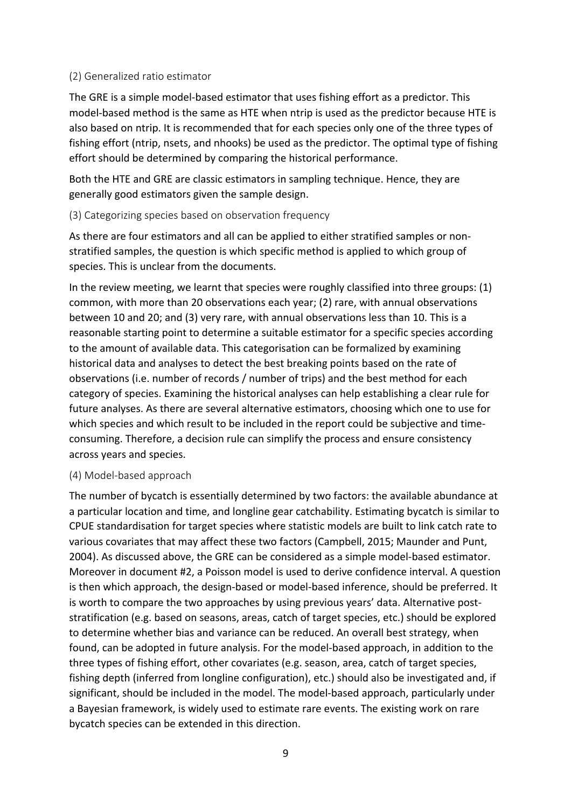### (2) Generalized ratio estimator

The GRE is a simple model-based estimator that uses fishing effort as a predictor. This model-based method is the same as HTE when ntrip is used as the predictor because HTE is also based on ntrip. It is recommended that for each species only one of the three types of fishing effort (ntrip, nsets, and nhooks) be used as the predictor. The optimal type of fishing effort should be determined by comparing the historical performance.

Both the HTE and GRE are classic estimators in sampling technique. Hence, they are generally good estimators given the sample design.

## (3) Categorizing species based on observation frequency

As there are four estimators and all can be applied to either stratified samples or nonstratified samples, the question is which specific method is applied to which group of species. This is unclear from the documents.

In the review meeting, we learnt that species were roughly classified into three groups: (1) common, with more than 20 observations each year; (2) rare, with annual observations between 10 and 20; and (3) very rare, with annual observations less than 10. This is a reasonable starting point to determine a suitable estimator for a specific species according to the amount of available data. This categorisation can be formalized by examining historical data and analyses to detect the best breaking points based on the rate of observations (i.e. number of records / number of trips) and the best method for each category of species. Examining the historical analyses can help establishing a clear rule for future analyses. As there are several alternative estimators, choosing which one to use for which species and which result to be included in the report could be subjective and timeconsuming. Therefore, a decision rule can simplify the process and ensure consistency across years and species.

### (4) Model-based approach

The number of bycatch is essentially determined by two factors: the available abundance at a particular location and time, and longline gear catchability. Estimating bycatch is similar to CPUE standardisation for target species where statistic models are built to link catch rate to various covariates that may affect these two factors (Campbell, 2015; Maunder and Punt, 2004). As discussed above, the GRE can be considered as a simple model-based estimator. Moreover in document #2, a Poisson model is used to derive confidence interval. A question is then which approach, the design-based or model-based inference, should be preferred. It is worth to compare the two approaches by using previous years' data. Alternative poststratification (e.g. based on seasons, areas, catch of target species, etc.) should be explored to determine whether bias and variance can be reduced. An overall best strategy, when found, can be adopted in future analysis. For the model-based approach, in addition to the three types of fishing effort, other covariates (e.g. season, area, catch of target species, fishing depth (inferred from longline configuration), etc.) should also be investigated and, if significant, should be included in the model. The model-based approach, particularly under a Bayesian framework, is widely used to estimate rare events. The existing work on rare bycatch species can be extended in this direction.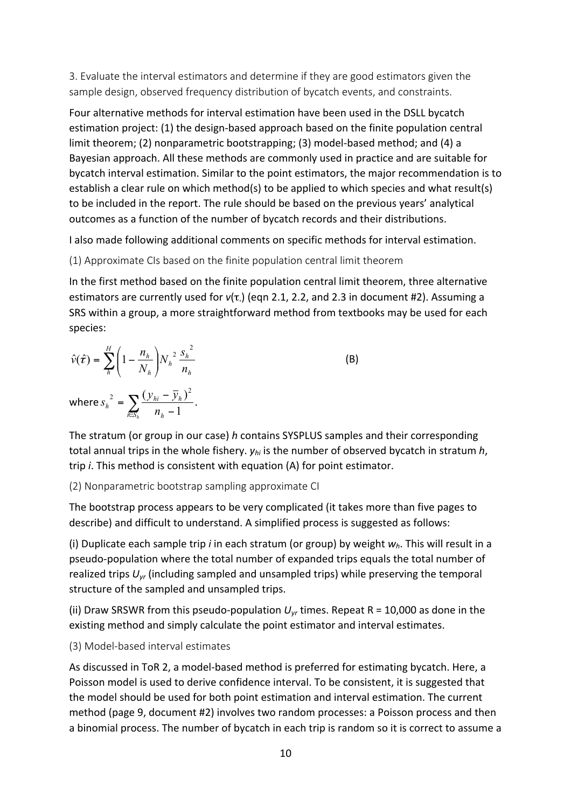3. Evaluate the interval estimators and determine if they are good estimators given the sample design, observed frequency distribution of bycatch events, and constraints.

Four alternative methods for interval estimation have been used in the DSLL bycatch estimation project: (1) the design-based approach based on the finite population central limit theorem; (2) nonparametric bootstrapping; (3) model-based method; and (4) a Bayesian approach. All these methods are commonly used in practice and are suitable for bycatch interval estimation. Similar to the point estimators, the major recommendation is to establish a clear rule on which method(s) to be applied to which species and what result(s) to be included in the report. The rule should be based on the previous years' analytical outcomes as a function of the number of bycatch records and their distributions.

I also made following additional comments on specific methods for interval estimation.

## (1) Approximate CIs based on the finite population central limit theorem

In the first method based on the finite population central limit theorem, three alternative estimators are currently used for  $v(\tau)$  (eqn 2.1, 2.2, and 2.3 in document #2). Assuming a SRS within a group, a more straightforward method from textbooks may be used for each species:

$$
\hat{v}(\hat{\tau}) = \sum_{h}^{H} \left( 1 - \frac{n_h}{N_h} \right) N_h^2 \frac{s_h^2}{n_h}
$$
\nwhere  $s_h^2 = \sum_{k \in S_h} \frac{(y_{hi} - \bar{y}_h)^2}{n_h - 1}$ .

\n(B)

The stratum (or group in our case) *h* contains SYSPLUS samples and their corresponding total annual trips in the whole fishery.  $y_{hi}$  is the number of observed bycatch in stratum  $h$ , trip *i*. This method is consistent with equation (A) for point estimator.

(2) Nonparametric bootstrap sampling approximate CI

The bootstrap process appears to be very complicated (it takes more than five pages to describe) and difficult to understand. A simplified process is suggested as follows:

(i) Duplicate each sample trip *i* in each stratum (or group) by weight  $w_h$ . This will result in a pseudo-population where the total number of expanded trips equals the total number of realized trips  $U_{vr}$  (including sampled and unsampled trips) while preserving the temporal structure of the sampled and unsampled trips.

(ii) Draw SRSWR from this pseudo-population  $U_{yr}$  times. Repeat R = 10,000 as done in the existing method and simply calculate the point estimator and interval estimates.

## (3) Model-based interval estimates

As discussed in ToR 2, a model-based method is preferred for estimating bycatch. Here, a Poisson model is used to derive confidence interval. To be consistent, it is suggested that the model should be used for both point estimation and interval estimation. The current method (page 9, document #2) involves two random processes: a Poisson process and then a binomial process. The number of bycatch in each trip is random so it is correct to assume a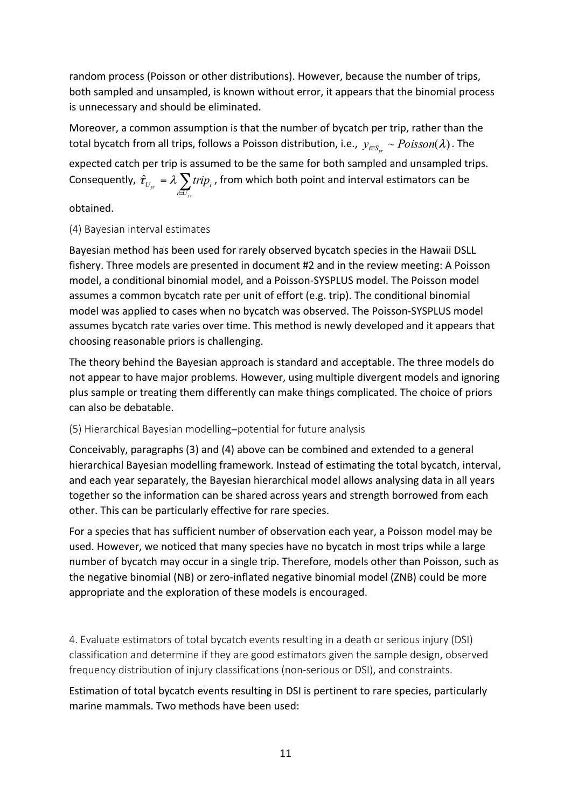random process (Poisson or other distributions). However, because the number of trips, both sampled and unsampled, is known without error, it appears that the binomial process is unnecessary and should be eliminated.

Moreover, a common assumption is that the number of bycatch per trip, rather than the total bycatch from all trips, follows a Poisson distribution, i.e.,  $y_{i\in S_w} \sim Poisson(\lambda)$ . The expected catch per trip is assumed to be the same for both sampled and unsampled trips. Consequently,  $\hat{\tau}_{_{U_{yr}}}$  =  $\lambda \displaystyle\sum_{_{k\in U_{yr}}}$ *yr yr*  $\qquad \qquad i \bigoplus$  $\hat{\tau}_{U_{\text{w}}} = \lambda \sum trip_i$ , from which both point and interval estimators can be

obtained.

## (4) Bayesian interval estimates

Bayesian method has been used for rarely observed bycatch species in the Hawaii DSLL fishery. Three models are presented in document #2 and in the review meeting: A Poisson model, a conditional binomial model, and a Poisson-SYSPLUS model. The Poisson model assumes a common bycatch rate per unit of effort (e.g. trip). The conditional binomial model was applied to cases when no bycatch was observed. The Poisson-SYSPLUS model assumes bycatch rate varies over time. This method is newly developed and it appears that choosing reasonable priors is challenging.

The theory behind the Bayesian approach is standard and acceptable. The three models do not appear to have major problems. However, using multiple divergent models and ignoring plus sample or treating them differently can make things complicated. The choice of priors can also be debatable.

## (5) Hierarchical Bayesian modelling−potential for future analysis

Conceivably, paragraphs (3) and (4) above can be combined and extended to a general hierarchical Bayesian modelling framework. Instead of estimating the total bycatch, interval, and each year separately, the Bayesian hierarchical model allows analysing data in all years together so the information can be shared across years and strength borrowed from each other. This can be particularly effective for rare species.

For a species that has sufficient number of observation each year, a Poisson model may be used. However, we noticed that many species have no bycatch in most trips while a large number of bycatch may occur in a single trip. Therefore, models other than Poisson, such as the negative binomial (NB) or zero-inflated negative binomial model (ZNB) could be more appropriate and the exploration of these models is encouraged.

4. Evaluate estimators of total bycatch events resulting in a death or serious injury (DSI) classification and determine if they are good estimators given the sample design, observed frequency distribution of injury classifications (non-serious or DSI), and constraints.

Estimation of total bycatch events resulting in DSI is pertinent to rare species, particularly marine mammals. Two methods have been used: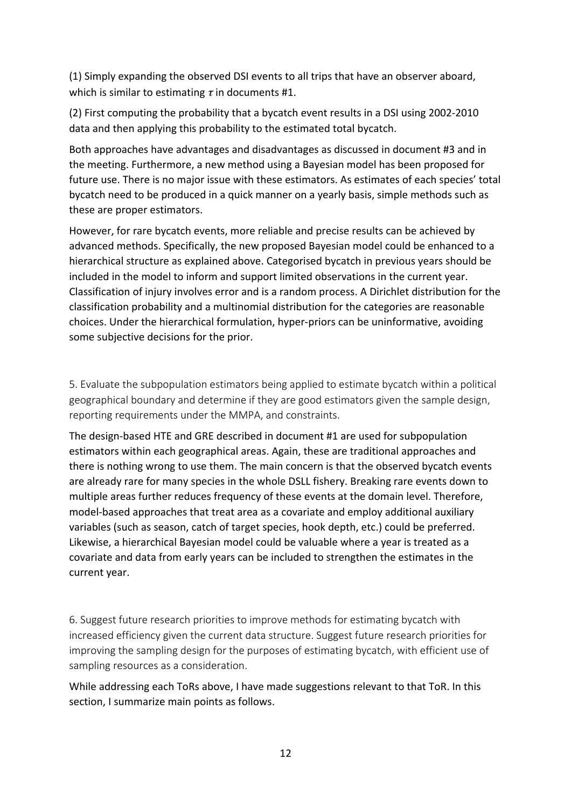(1) Simply expanding the observed DSI events to all trips that have an observer aboard, which is similar to estimating  $\tau$  in documents #1.

(2) First computing the probability that a bycatch event results in a DSI using 2002-2010 data and then applying this probability to the estimated total bycatch.

Both approaches have advantages and disadvantages as discussed in document #3 and in the meeting. Furthermore, a new method using a Bayesian model has been proposed for future use. There is no major issue with these estimators. As estimates of each species' total bycatch need to be produced in a quick manner on a yearly basis, simple methods such as these are proper estimators.

However, for rare bycatch events, more reliable and precise results can be achieved by advanced methods. Specifically, the new proposed Bayesian model could be enhanced to a hierarchical structure as explained above. Categorised bycatch in previous years should be included in the model to inform and support limited observations in the current year. Classification of injury involves error and is a random process. A Dirichlet distribution for the classification probability and a multinomial distribution for the categories are reasonable choices. Under the hierarchical formulation, hyper-priors can be uninformative, avoiding some subjective decisions for the prior.

5. Evaluate the subpopulation estimators being applied to estimate bycatch within a political geographical boundary and determine if they are good estimators given the sample design, reporting requirements under the MMPA, and constraints.

The design-based HTE and GRE described in document #1 are used for subpopulation estimators within each geographical areas. Again, these are traditional approaches and there is nothing wrong to use them. The main concern is that the observed bycatch events are already rare for many species in the whole DSLL fishery. Breaking rare events down to multiple areas further reduces frequency of these events at the domain level. Therefore, model-based approaches that treat area as a covariate and employ additional auxiliary variables (such as season, catch of target species, hook depth, etc.) could be preferred. Likewise, a hierarchical Bayesian model could be valuable where a year is treated as a covariate and data from early years can be included to strengthen the estimates in the current year.

6. Suggest future research priorities to improve methods for estimating bycatch with increased efficiency given the current data structure. Suggest future research priorities for improving the sampling design for the purposes of estimating bycatch, with efficient use of sampling resources as a consideration.

While addressing each ToRs above, I have made suggestions relevant to that ToR. In this section, I summarize main points as follows.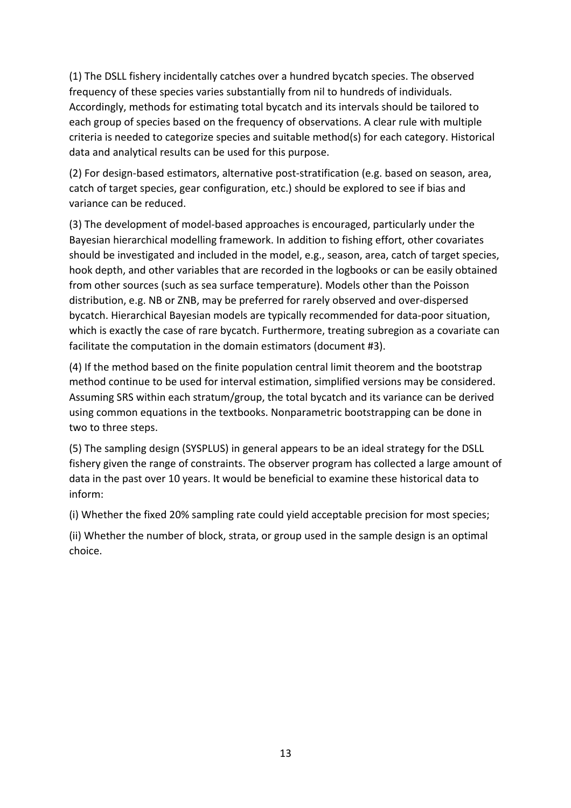(1) The DSLL fishery incidentally catches over a hundred bycatch species. The observed frequency of these species varies substantially from nil to hundreds of individuals. Accordingly, methods for estimating total bycatch and its intervals should be tailored to each group of species based on the frequency of observations. A clear rule with multiple criteria is needed to categorize species and suitable method(s) for each category. Historical data and analytical results can be used for this purpose.

(2) For design-based estimators, alternative post-stratification (e.g. based on season, area, catch of target species, gear configuration, etc.) should be explored to see if bias and variance can be reduced.

(3) The development of model-based approaches is encouraged, particularly under the Bayesian hierarchical modelling framework. In addition to fishing effort, other covariates should be investigated and included in the model, e.g., season, area, catch of target species, hook depth, and other variables that are recorded in the logbooks or can be easily obtained from other sources (such as sea surface temperature). Models other than the Poisson distribution, e.g. NB or ZNB, may be preferred for rarely observed and over-dispersed bycatch. Hierarchical Bayesian models are typically recommended for data-poor situation, which is exactly the case of rare bycatch. Furthermore, treating subregion as a covariate can facilitate the computation in the domain estimators (document #3).

(4) If the method based on the finite population central limit theorem and the bootstrap method continue to be used for interval estimation, simplified versions may be considered. Assuming SRS within each stratum/group, the total bycatch and its variance can be derived using common equations in the textbooks. Nonparametric bootstrapping can be done in two to three steps.

(5) The sampling design (SYSPLUS) in general appears to be an ideal strategy for the DSLL fishery given the range of constraints. The observer program has collected a large amount of data in the past over 10 years. It would be beneficial to examine these historical data to inform: 

(i) Whether the fixed 20% sampling rate could yield acceptable precision for most species;

(ii) Whether the number of block, strata, or group used in the sample design is an optimal choice.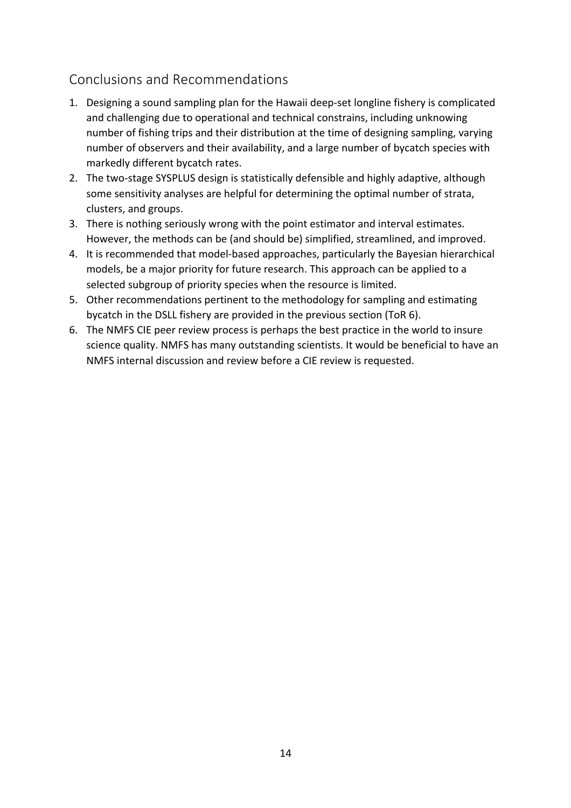# Conclusions and Recommendations

- 1. Designing a sound sampling plan for the Hawaii deep-set longline fishery is complicated and challenging due to operational and technical constrains, including unknowing number of fishing trips and their distribution at the time of designing sampling, varying number of observers and their availability, and a large number of bycatch species with markedly different bycatch rates.
- 2. The two-stage SYSPLUS design is statistically defensible and highly adaptive, although some sensitivity analyses are helpful for determining the optimal number of strata, clusters, and groups.
- 3. There is nothing seriously wrong with the point estimator and interval estimates. However, the methods can be (and should be) simplified, streamlined, and improved.
- 4. It is recommended that model-based approaches, particularly the Bayesian hierarchical models, be a major priority for future research. This approach can be applied to a selected subgroup of priority species when the resource is limited.
- 5. Other recommendations pertinent to the methodology for sampling and estimating bycatch in the DSLL fishery are provided in the previous section (ToR 6).
- 6. The NMFS CIE peer review process is perhaps the best practice in the world to insure science quality. NMFS has many outstanding scientists. It would be beneficial to have an NMFS internal discussion and review before a CIE review is requested.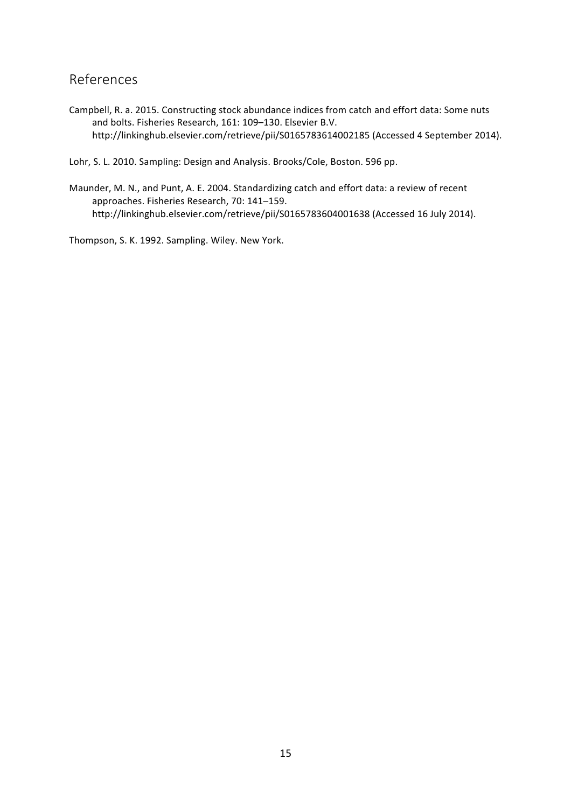# References

Campbell, R. a. 2015. Constructing stock abundance indices from catch and effort data: Some nuts and bolts. Fisheries Research, 161: 109-130. Elsevier B.V. http://linkinghub.elsevier.com/retrieve/pii/S0165783614002185 (Accessed 4 September 2014).

Lohr, S. L. 2010. Sampling: Design and Analysis. Brooks/Cole, Boston. 596 pp.

Maunder, M. N., and Punt, A. E. 2004. Standardizing catch and effort data: a review of recent approaches. Fisheries Research, 70: 141-159. http://linkinghub.elsevier.com/retrieve/pii/S0165783604001638 (Accessed 16 July 2014).

Thompson, S. K. 1992. Sampling. Wiley. New York.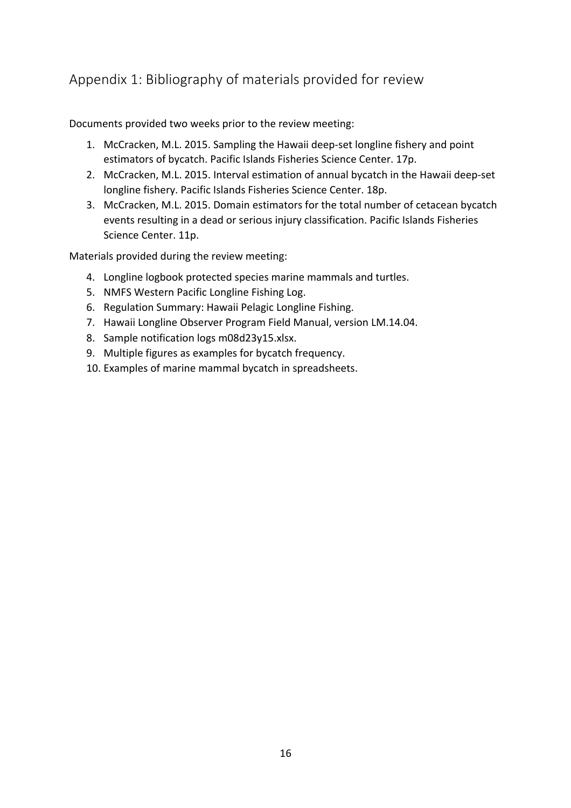# Appendix 1: Bibliography of materials provided for review

Documents provided two weeks prior to the review meeting:

- 1. McCracken, M.L. 2015. Sampling the Hawaii deep-set longline fishery and point estimators of bycatch. Pacific Islands Fisheries Science Center. 17p.
- 2. McCracken, M.L. 2015. Interval estimation of annual bycatch in the Hawaii deep-set longline fishery. Pacific Islands Fisheries Science Center. 18p.
- 3. McCracken, M.L. 2015. Domain estimators for the total number of cetacean bycatch events resulting in a dead or serious injury classification. Pacific Islands Fisheries Science Center. 11p.

Materials provided during the review meeting:

- 4. Longline logbook protected species marine mammals and turtles.
- 5. NMFS Western Pacific Longline Fishing Log.
- 6. Regulation Summary: Hawaii Pelagic Longline Fishing.
- 7. Hawaii Longline Observer Program Field Manual, version LM.14.04.
- 8. Sample notification logs m08d23y15.xlsx.
- 9. Multiple figures as examples for bycatch frequency.
- 10. Examples of marine mammal bycatch in spreadsheets.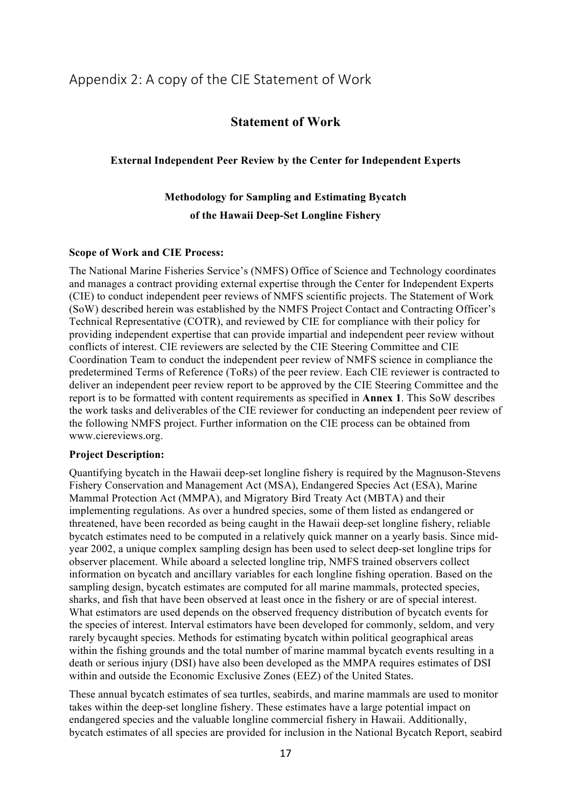# Appendix 2: A copy of the CIE Statement of Work

## **Statement of Work**

### **External Independent Peer Review by the Center for Independent Experts**

# **Methodology for Sampling and Estimating Bycatch of the Hawaii Deep-Set Longline Fishery**

#### **Scope of Work and CIE Process:**

The National Marine Fisheries Service's (NMFS) Office of Science and Technology coordinates and manages a contract providing external expertise through the Center for Independent Experts (CIE) to conduct independent peer reviews of NMFS scientific projects. The Statement of Work (SoW) described herein was established by the NMFS Project Contact and Contracting Officer's Technical Representative (COTR), and reviewed by CIE for compliance with their policy for providing independent expertise that can provide impartial and independent peer review without conflicts of interest. CIE reviewers are selected by the CIE Steering Committee and CIE Coordination Team to conduct the independent peer review of NMFS science in compliance the predetermined Terms of Reference (ToRs) of the peer review. Each CIE reviewer is contracted to deliver an independent peer review report to be approved by the CIE Steering Committee and the report is to be formatted with content requirements as specified in **Annex 1**. This SoW describes the work tasks and deliverables of the CIE reviewer for conducting an independent peer review of the following NMFS project. Further information on the CIE process can be obtained from www.ciereviews.org.

#### **Project Description:**

Quantifying bycatch in the Hawaii deep-set longline fishery is required by the Magnuson-Stevens Fishery Conservation and Management Act (MSA), Endangered Species Act (ESA), Marine Mammal Protection Act (MMPA), and Migratory Bird Treaty Act (MBTA) and their implementing regulations. As over a hundred species, some of them listed as endangered or threatened, have been recorded as being caught in the Hawaii deep-set longline fishery, reliable bycatch estimates need to be computed in a relatively quick manner on a yearly basis. Since midyear 2002, a unique complex sampling design has been used to select deep-set longline trips for observer placement. While aboard a selected longline trip, NMFS trained observers collect information on bycatch and ancillary variables for each longline fishing operation. Based on the sampling design, bycatch estimates are computed for all marine mammals, protected species, sharks, and fish that have been observed at least once in the fishery or are of special interest. What estimators are used depends on the observed frequency distribution of bycatch events for the species of interest. Interval estimators have been developed for commonly, seldom, and very rarely bycaught species. Methods for estimating bycatch within political geographical areas within the fishing grounds and the total number of marine mammal bycatch events resulting in a death or serious injury (DSI) have also been developed as the MMPA requires estimates of DSI within and outside the Economic Exclusive Zones (EEZ) of the United States.

These annual bycatch estimates of sea turtles, seabirds, and marine mammals are used to monitor takes within the deep-set longline fishery. These estimates have a large potential impact on endangered species and the valuable longline commercial fishery in Hawaii. Additionally, bycatch estimates of all species are provided for inclusion in the National Bycatch Report, seabird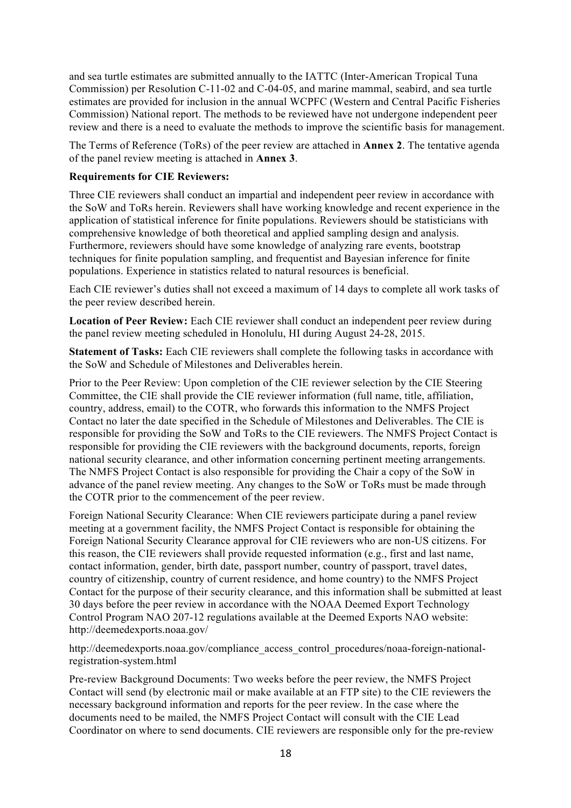and sea turtle estimates are submitted annually to the IATTC (Inter-American Tropical Tuna Commission) per Resolution C-11-02 and C-04-05, and marine mammal, seabird, and sea turtle estimates are provided for inclusion in the annual WCPFC (Western and Central Pacific Fisheries Commission) National report. The methods to be reviewed have not undergone independent peer review and there is a need to evaluate the methods to improve the scientific basis for management.

The Terms of Reference (ToRs) of the peer review are attached in **Annex 2**. The tentative agenda of the panel review meeting is attached in **Annex 3**.

### **Requirements for CIE Reviewers:**

Three CIE reviewers shall conduct an impartial and independent peer review in accordance with the SoW and ToRs herein. Reviewers shall have working knowledge and recent experience in the application of statistical inference for finite populations. Reviewers should be statisticians with comprehensive knowledge of both theoretical and applied sampling design and analysis. Furthermore, reviewers should have some knowledge of analyzing rare events, bootstrap techniques for finite population sampling, and frequentist and Bayesian inference for finite populations. Experience in statistics related to natural resources is beneficial.

Each CIE reviewer's duties shall not exceed a maximum of 14 days to complete all work tasks of the peer review described herein.

**Location of Peer Review:** Each CIE reviewer shall conduct an independent peer review during the panel review meeting scheduled in Honolulu, HI during August 24-28, 2015.

**Statement of Tasks:** Each CIE reviewers shall complete the following tasks in accordance with the SoW and Schedule of Milestones and Deliverables herein.

Prior to the Peer Review: Upon completion of the CIE reviewer selection by the CIE Steering Committee, the CIE shall provide the CIE reviewer information (full name, title, affiliation, country, address, email) to the COTR, who forwards this information to the NMFS Project Contact no later the date specified in the Schedule of Milestones and Deliverables. The CIE is responsible for providing the SoW and ToRs to the CIE reviewers. The NMFS Project Contact is responsible for providing the CIE reviewers with the background documents, reports, foreign national security clearance, and other information concerning pertinent meeting arrangements. The NMFS Project Contact is also responsible for providing the Chair a copy of the SoW in advance of the panel review meeting. Any changes to the SoW or ToRs must be made through the COTR prior to the commencement of the peer review.

Foreign National Security Clearance: When CIE reviewers participate during a panel review meeting at a government facility, the NMFS Project Contact is responsible for obtaining the Foreign National Security Clearance approval for CIE reviewers who are non-US citizens. For this reason, the CIE reviewers shall provide requested information (e.g., first and last name, contact information, gender, birth date, passport number, country of passport, travel dates, country of citizenship, country of current residence, and home country) to the NMFS Project Contact for the purpose of their security clearance, and this information shall be submitted at least 30 days before the peer review in accordance with the NOAA Deemed Export Technology Control Program NAO 207-12 regulations available at the Deemed Exports NAO website: http://deemedexports.noaa.gov/

http://deemedexports.noaa.gov/compliance\_access\_control\_procedures/noaa-foreign-nationalregistration-system.html

Pre-review Background Documents: Two weeks before the peer review, the NMFS Project Contact will send (by electronic mail or make available at an FTP site) to the CIE reviewers the necessary background information and reports for the peer review. In the case where the documents need to be mailed, the NMFS Project Contact will consult with the CIE Lead Coordinator on where to send documents. CIE reviewers are responsible only for the pre-review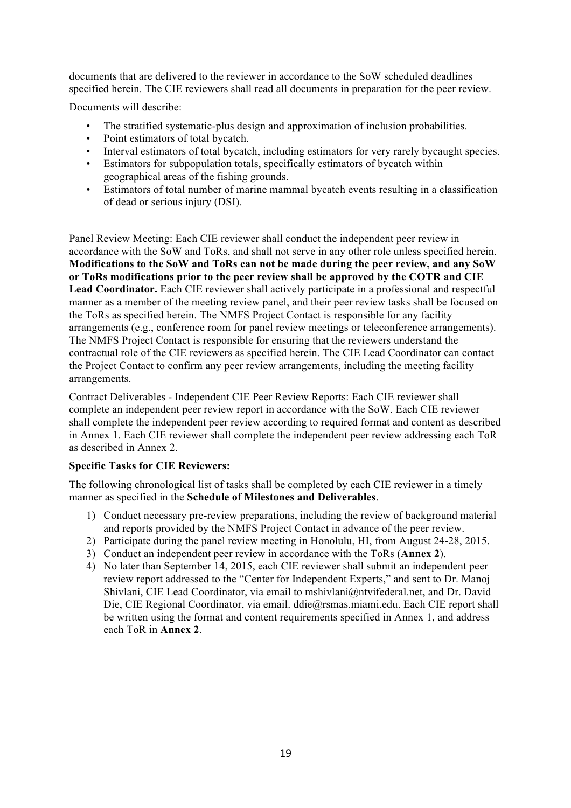documents that are delivered to the reviewer in accordance to the SoW scheduled deadlines specified herein. The CIE reviewers shall read all documents in preparation for the peer review.

Documents will describe:

- The stratified systematic-plus design and approximation of inclusion probabilities.
- Point estimators of total bycatch.
- Interval estimators of total bycatch, including estimators for very rarely bycaught species.
- Estimators for subpopulation totals, specifically estimators of bycatch within geographical areas of the fishing grounds.
- Estimators of total number of marine mammal bycatch events resulting in a classification of dead or serious injury (DSI).

Panel Review Meeting: Each CIE reviewer shall conduct the independent peer review in accordance with the SoW and ToRs, and shall not serve in any other role unless specified herein. **Modifications to the SoW and ToRs can not be made during the peer review, and any SoW or ToRs modifications prior to the peer review shall be approved by the COTR and CIE Lead Coordinator.** Each CIE reviewer shall actively participate in a professional and respectful manner as a member of the meeting review panel, and their peer review tasks shall be focused on the ToRs as specified herein. The NMFS Project Contact is responsible for any facility arrangements (e.g., conference room for panel review meetings or teleconference arrangements). The NMFS Project Contact is responsible for ensuring that the reviewers understand the contractual role of the CIE reviewers as specified herein. The CIE Lead Coordinator can contact the Project Contact to confirm any peer review arrangements, including the meeting facility arrangements.

Contract Deliverables - Independent CIE Peer Review Reports: Each CIE reviewer shall complete an independent peer review report in accordance with the SoW. Each CIE reviewer shall complete the independent peer review according to required format and content as described in Annex 1. Each CIE reviewer shall complete the independent peer review addressing each ToR as described in Annex 2.

## **Specific Tasks for CIE Reviewers:**

The following chronological list of tasks shall be completed by each CIE reviewer in a timely manner as specified in the **Schedule of Milestones and Deliverables**.

- 1) Conduct necessary pre-review preparations, including the review of background material and reports provided by the NMFS Project Contact in advance of the peer review.
- 2) Participate during the panel review meeting in Honolulu, HI, from August 24-28, 2015.
- 3) Conduct an independent peer review in accordance with the ToRs (**Annex 2**).
- 4) No later than September 14, 2015, each CIE reviewer shall submit an independent peer review report addressed to the "Center for Independent Experts," and sent to Dr. Manoj Shivlani, CIE Lead Coordinator, via email to mshivlani@ntvifederal.net, and Dr. David Die, CIE Regional Coordinator, via email. ddie@rsmas.miami.edu. Each CIE report shall be written using the format and content requirements specified in Annex 1, and address each ToR in **Annex 2**.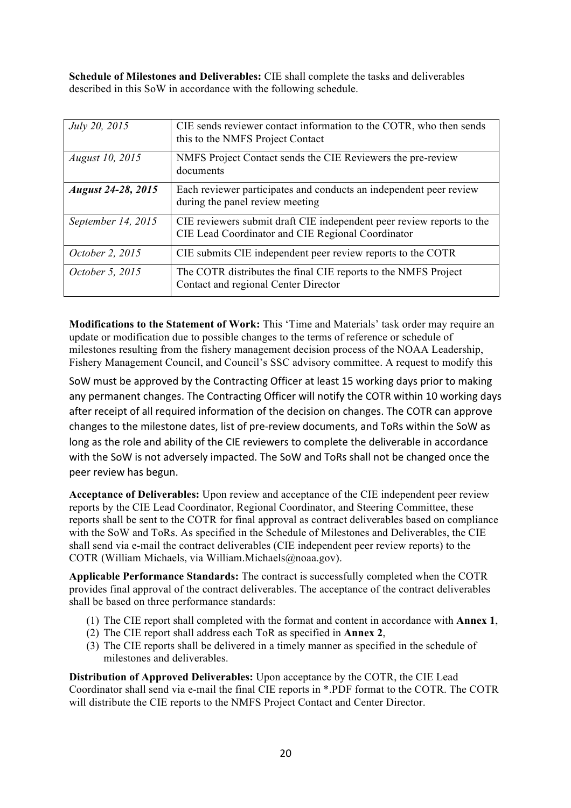**Schedule of Milestones and Deliverables:** CIE shall complete the tasks and deliverables described in this SoW in accordance with the following schedule.

| July 20, 2015             | CIE sends reviewer contact information to the COTR, who then sends<br>this to the NMFS Project Contact                     |
|---------------------------|----------------------------------------------------------------------------------------------------------------------------|
| <i>August 10, 2015</i>    | NMFS Project Contact sends the CIE Reviewers the pre-review<br>documents                                                   |
| <b>August 24-28, 2015</b> | Each reviewer participates and conducts an independent peer review<br>during the panel review meeting                      |
| September 14, 2015        | CIE reviewers submit draft CIE independent peer review reports to the<br>CIE Lead Coordinator and CIE Regional Coordinator |
| October 2, 2015           | CIE submits CIE independent peer review reports to the COTR                                                                |
| October 5, 2015           | The COTR distributes the final CIE reports to the NMFS Project<br>Contact and regional Center Director                     |

**Modifications to the Statement of Work:** This 'Time and Materials' task order may require an update or modification due to possible changes to the terms of reference or schedule of milestones resulting from the fishery management decision process of the NOAA Leadership, Fishery Management Council, and Council's SSC advisory committee. A request to modify this

SoW must be approved by the Contracting Officer at least 15 working days prior to making any permanent changes. The Contracting Officer will notify the COTR within 10 working days after receipt of all required information of the decision on changes. The COTR can approve changes to the milestone dates, list of pre-review documents, and ToRs within the SoW as long as the role and ability of the CIE reviewers to complete the deliverable in accordance with the SoW is not adversely impacted. The SoW and ToRs shall not be changed once the peer review has begun.

**Acceptance of Deliverables:** Upon review and acceptance of the CIE independent peer review reports by the CIE Lead Coordinator, Regional Coordinator, and Steering Committee, these reports shall be sent to the COTR for final approval as contract deliverables based on compliance with the SoW and ToRs. As specified in the Schedule of Milestones and Deliverables, the CIE shall send via e-mail the contract deliverables (CIE independent peer review reports) to the COTR (William Michaels, via William.Michaels@noaa.gov).

**Applicable Performance Standards:** The contract is successfully completed when the COTR provides final approval of the contract deliverables. The acceptance of the contract deliverables shall be based on three performance standards:

- (1) The CIE report shall completed with the format and content in accordance with **Annex 1**,
- (2) The CIE report shall address each ToR as specified in **Annex 2**,
- (3) The CIE reports shall be delivered in a timely manner as specified in the schedule of milestones and deliverables.

**Distribution of Approved Deliverables:** Upon acceptance by the COTR, the CIE Lead Coordinator shall send via e-mail the final CIE reports in \*.PDF format to the COTR. The COTR will distribute the CIE reports to the NMFS Project Contact and Center Director.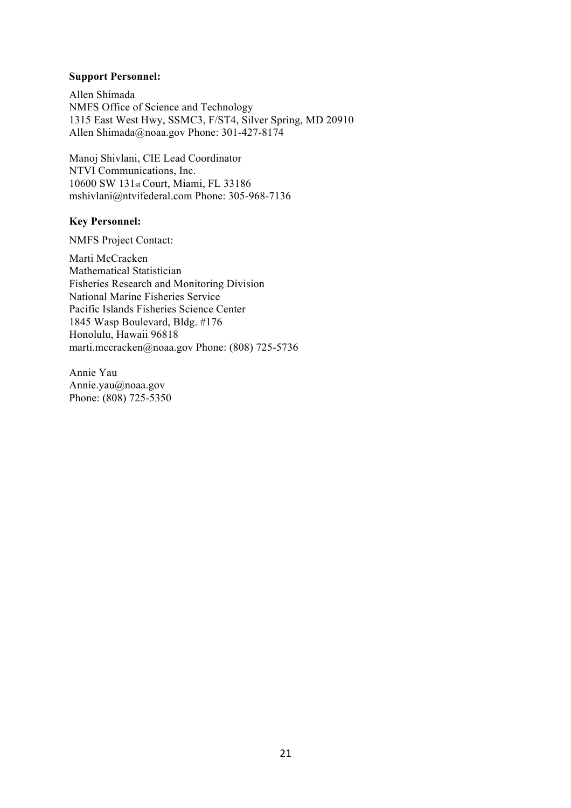#### **Support Personnel:**

Allen Shimada NMFS Office of Science and Technology 1315 East West Hwy, SSMC3, F/ST4, Silver Spring, MD 20910 Allen Shimada@noaa.gov Phone: 301-427-8174

Manoj Shivlani, CIE Lead Coordinator NTVI Communications, Inc. 10600 SW 131st Court, Miami, FL 33186 mshivlani@ntvifederal.com Phone: 305-968-7136

#### **Key Personnel:**

NMFS Project Contact:

Marti McCracken Mathematical Statistician Fisheries Research and Monitoring Division National Marine Fisheries Service Pacific Islands Fisheries Science Center 1845 Wasp Boulevard, Bldg. #176 Honolulu, Hawaii 96818 marti.mccracken@noaa.gov Phone: (808) 725-5736

Annie Yau Annie.yau@noaa.gov Phone: (808) 725-5350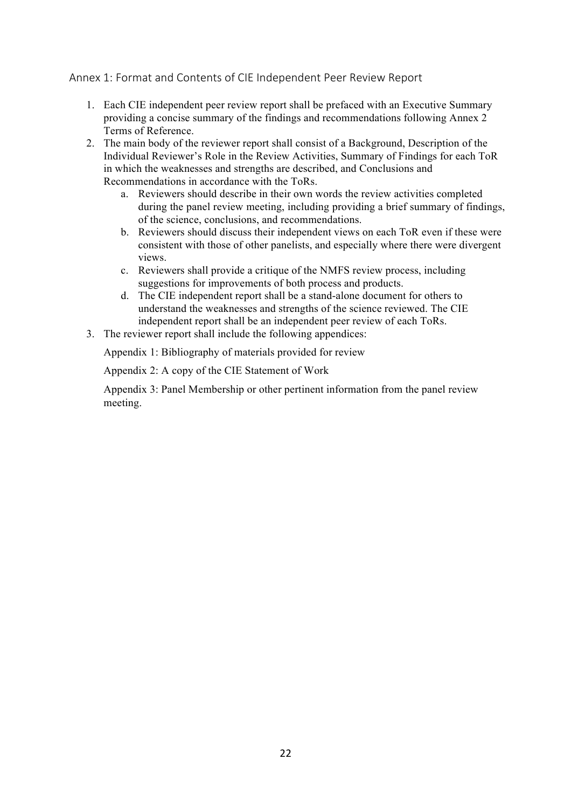Annex 1: Format and Contents of CIE Independent Peer Review Report

- 1. Each CIE independent peer review report shall be prefaced with an Executive Summary providing a concise summary of the findings and recommendations following Annex 2 Terms of Reference.
- 2. The main body of the reviewer report shall consist of a Background, Description of the Individual Reviewer's Role in the Review Activities, Summary of Findings for each ToR in which the weaknesses and strengths are described, and Conclusions and Recommendations in accordance with the ToRs.
	- a. Reviewers should describe in their own words the review activities completed during the panel review meeting, including providing a brief summary of findings, of the science, conclusions, and recommendations.
	- b. Reviewers should discuss their independent views on each ToR even if these were consistent with those of other panelists, and especially where there were divergent views.
	- c. Reviewers shall provide a critique of the NMFS review process, including suggestions for improvements of both process and products.
	- d. The CIE independent report shall be a stand-alone document for others to understand the weaknesses and strengths of the science reviewed. The CIE independent report shall be an independent peer review of each ToRs.
- 3. The reviewer report shall include the following appendices:

Appendix 1: Bibliography of materials provided for review

Appendix 2: A copy of the CIE Statement of Work

Appendix 3: Panel Membership or other pertinent information from the panel review meeting.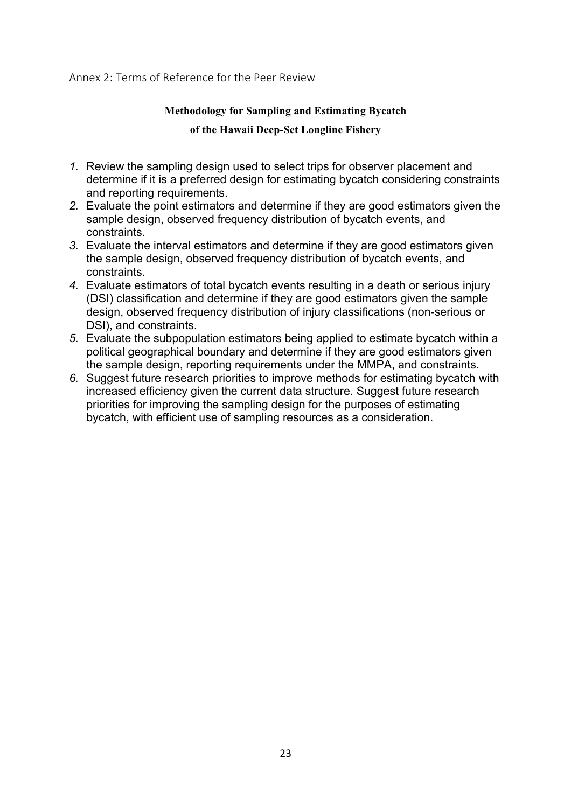### Annex 2: Terms of Reference for the Peer Review

### **Methodology for Sampling and Estimating Bycatch**

### **of the Hawaii Deep-Set Longline Fishery**

- *1.* Review the sampling design used to select trips for observer placement and determine if it is a preferred design for estimating bycatch considering constraints and reporting requirements.
- *2.* Evaluate the point estimators and determine if they are good estimators given the sample design, observed frequency distribution of bycatch events, and constraints.
- *3.* Evaluate the interval estimators and determine if they are good estimators given the sample design, observed frequency distribution of bycatch events, and constraints.
- *4.* Evaluate estimators of total bycatch events resulting in a death or serious injury (DSI) classification and determine if they are good estimators given the sample design, observed frequency distribution of injury classifications (non-serious or DSI), and constraints.
- *5.* Evaluate the subpopulation estimators being applied to estimate bycatch within a political geographical boundary and determine if they are good estimators given the sample design, reporting requirements under the MMPA, and constraints.
- *6.* Suggest future research priorities to improve methods for estimating bycatch with increased efficiency given the current data structure. Suggest future research priorities for improving the sampling design for the purposes of estimating bycatch, with efficient use of sampling resources as a consideration.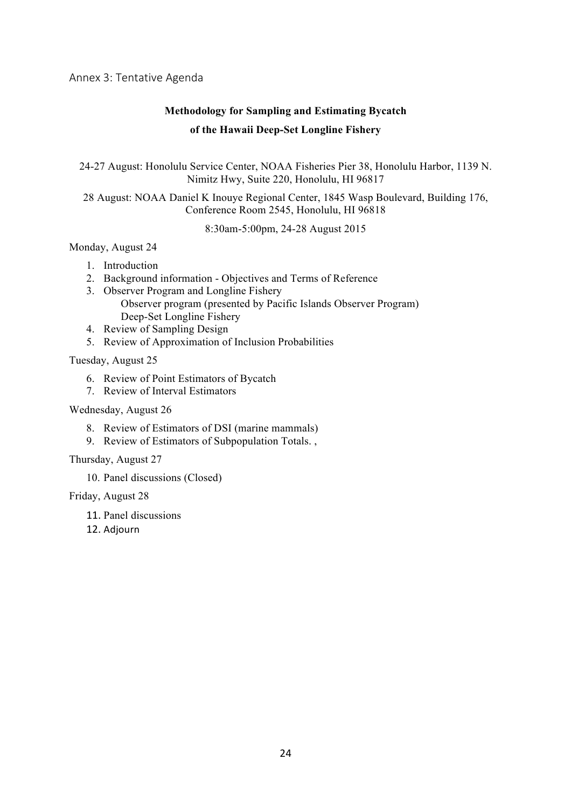Annex 3: Tentative Agenda

# **Methodology for Sampling and Estimating Bycatch of the Hawaii Deep-Set Longline Fishery**

24-27 August: Honolulu Service Center, NOAA Fisheries Pier 38, Honolulu Harbor, 1139 N. Nimitz Hwy, Suite 220, Honolulu, HI 96817

28 August: NOAA Daniel K Inouye Regional Center, 1845 Wasp Boulevard, Building 176, Conference Room 2545, Honolulu, HI 96818

8:30am-5:00pm, 24-28 August 2015

Monday, August 24

- 1. Introduction
- 2. Background information Objectives and Terms of Reference
- 3. Observer Program and Longline Fishery Observer program (presented by Pacific Islands Observer Program) Deep-Set Longline Fishery
- 4. Review of Sampling Design
- 5. Review of Approximation of Inclusion Probabilities

Tuesday, August 25

- 6. Review of Point Estimators of Bycatch
- 7. Review of Interval Estimators

Wednesday, August 26

- 8. Review of Estimators of DSI (marine mammals)
- 9. Review of Estimators of Subpopulation Totals. ,

Thursday, August 27

10. Panel discussions (Closed)

Friday, August 28

- 11. Panel discussions
- 12. Adjourn